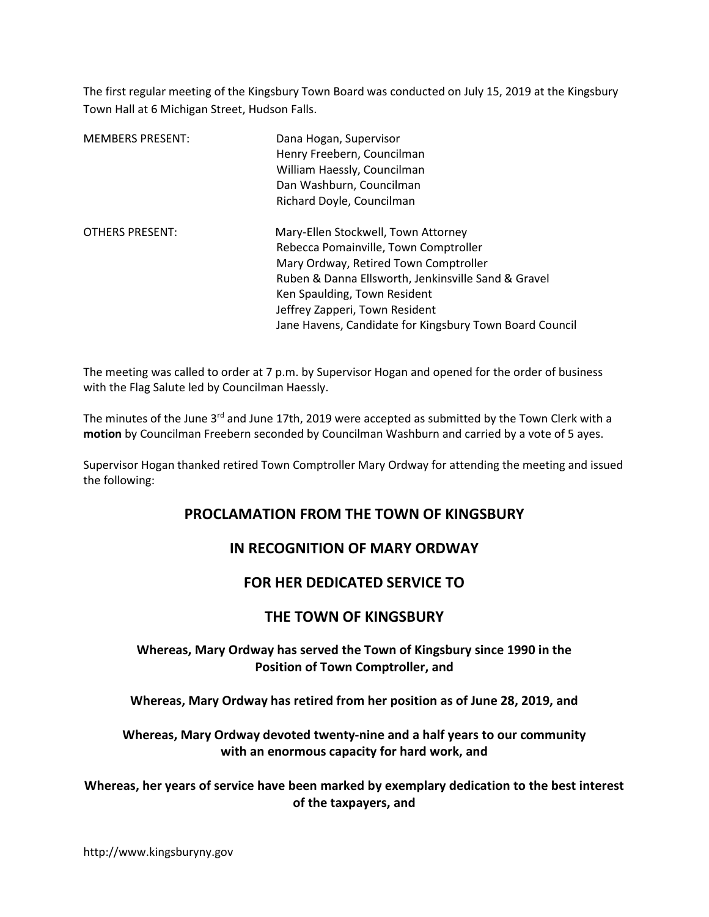The first regular meeting of the Kingsbury Town Board was conducted on July 15, 2019 at the Kingsbury Town Hall at 6 Michigan Street, Hudson Falls.

| <b>MEMBERS PRESENT:</b> | Dana Hogan, Supervisor<br>Henry Freebern, Councilman<br>William Haessly, Councilman<br>Dan Washburn, Councilman<br>Richard Doyle, Councilman                                                                                                                                                              |
|-------------------------|-----------------------------------------------------------------------------------------------------------------------------------------------------------------------------------------------------------------------------------------------------------------------------------------------------------|
| <b>OTHERS PRESENT:</b>  | Mary-Ellen Stockwell, Town Attorney<br>Rebecca Pomainville, Town Comptroller<br>Mary Ordway, Retired Town Comptroller<br>Ruben & Danna Ellsworth, Jenkinsville Sand & Gravel<br>Ken Spaulding, Town Resident<br>Jeffrey Zapperi, Town Resident<br>Jane Havens, Candidate for Kingsbury Town Board Council |

The meeting was called to order at 7 p.m. by Supervisor Hogan and opened for the order of business with the Flag Salute led by Councilman Haessly.

The minutes of the June 3<sup>rd</sup> and June 17th, 2019 were accepted as submitted by the Town Clerk with a motion by Councilman Freebern seconded by Councilman Washburn and carried by a vote of 5 ayes.

Supervisor Hogan thanked retired Town Comptroller Mary Ordway for attending the meeting and issued the following:

# PROCLAMATION FROM THE TOWN OF KINGSBURY

# IN RECOGNITION OF MARY ORDWAY

# FOR HER DEDICATED SERVICE TO

## THE TOWN OF KINGSBURY

### Whereas, Mary Ordway has served the Town of Kingsbury since 1990 in the Position of Town Comptroller, and

Whereas, Mary Ordway has retired from her position as of June 28, 2019, and

Whereas, Mary Ordway devoted twenty-nine and a half years to our community with an enormous capacity for hard work, and

Whereas, her years of service have been marked by exemplary dedication to the best interest of the taxpayers, and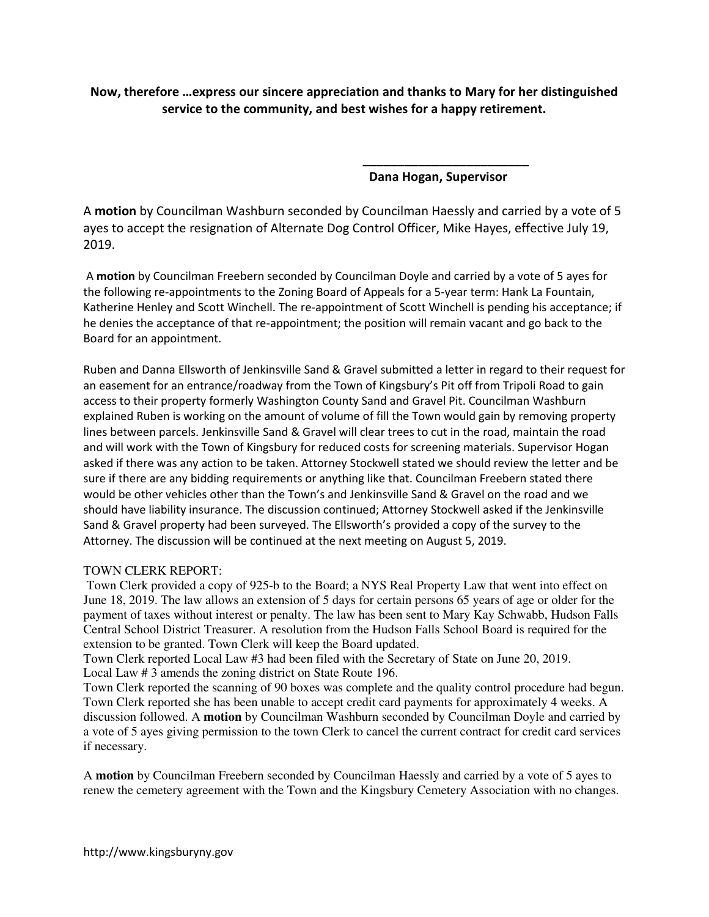Now, therefore …express our sincere appreciation and thanks to Mary for her distinguished service to the community, and best wishes for a happy retirement.

 $\overline{\phantom{a}}$  , and the contract of the contract of the contract of the contract of the contract of the contract of the contract of the contract of the contract of the contract of the contract of the contract of the contrac

Dana Hogan, Supervisor

A motion by Councilman Washburn seconded by Councilman Haessly and carried by a vote of 5 ayes to accept the resignation of Alternate Dog Control Officer, Mike Hayes, effective July 19, 2019.

 A motion by Councilman Freebern seconded by Councilman Doyle and carried by a vote of 5 ayes for the following re-appointments to the Zoning Board of Appeals for a 5-year term: Hank La Fountain, Katherine Henley and Scott Winchell. The re-appointment of Scott Winchell is pending his acceptance; if he denies the acceptance of that re-appointment; the position will remain vacant and go back to the Board for an appointment.

Ruben and Danna Ellsworth of Jenkinsville Sand & Gravel submitted a letter in regard to their request for an easement for an entrance/roadway from the Town of Kingsbury's Pit off from Tripoli Road to gain access to their property formerly Washington County Sand and Gravel Pit. Councilman Washburn explained Ruben is working on the amount of volume of fill the Town would gain by removing property lines between parcels. Jenkinsville Sand & Gravel will clear trees to cut in the road, maintain the road and will work with the Town of Kingsbury for reduced costs for screening materials. Supervisor Hogan asked if there was any action to be taken. Attorney Stockwell stated we should review the letter and be sure if there are any bidding requirements or anything like that. Councilman Freebern stated there would be other vehicles other than the Town's and Jenkinsville Sand & Gravel on the road and we should have liability insurance. The discussion continued; Attorney Stockwell asked if the Jenkinsville Sand & Gravel property had been surveyed. The Ellsworth's provided a copy of the survey to the Attorney. The discussion will be continued at the next meeting on August 5, 2019.

### TOWN CLERK REPORT:

 Town Clerk provided a copy of 925-b to the Board; a NYS Real Property Law that went into effect on June 18, 2019. The law allows an extension of 5 days for certain persons 65 years of age or older for the payment of taxes without interest or penalty. The law has been sent to Mary Kay Schwabb, Hudson Falls Central School District Treasurer. A resolution from the Hudson Falls School Board is required for the extension to be granted. Town Clerk will keep the Board updated.

Town Clerk reported Local Law #3 had been filed with the Secretary of State on June 20, 2019. Local Law # 3 amends the zoning district on State Route 196.

Town Clerk reported the scanning of 90 boxes was complete and the quality control procedure had begun. Town Clerk reported she has been unable to accept credit card payments for approximately 4 weeks. A discussion followed. A **motion** by Councilman Washburn seconded by Councilman Doyle and carried by a vote of 5 ayes giving permission to the town Clerk to cancel the current contract for credit card services if necessary.

A **motion** by Councilman Freebern seconded by Councilman Haessly and carried by a vote of 5 ayes to renew the cemetery agreement with the Town and the Kingsbury Cemetery Association with no changes.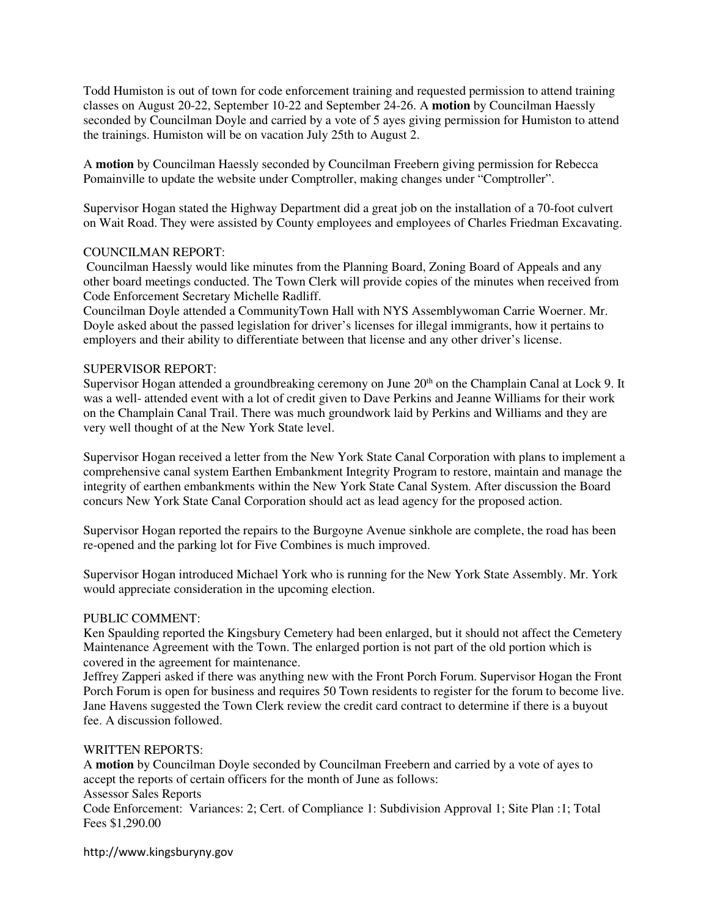Todd Humiston is out of town for code enforcement training and requested permission to attend training classes on August 20-22, September 10-22 and September 24-26. A **motion** by Councilman Haessly seconded by Councilman Doyle and carried by a vote of 5 ayes giving permission for Humiston to attend the trainings. Humiston will be on vacation July 25th to August 2.

A **motion** by Councilman Haessly seconded by Councilman Freebern giving permission for Rebecca Pomainville to update the website under Comptroller, making changes under "Comptroller".

Supervisor Hogan stated the Highway Department did a great job on the installation of a 70-foot culvert on Wait Road. They were assisted by County employees and employees of Charles Friedman Excavating.

### COUNCILMAN REPORT:

 Councilman Haessly would like minutes from the Planning Board, Zoning Board of Appeals and any other board meetings conducted. The Town Clerk will provide copies of the minutes when received from Code Enforcement Secretary Michelle Radliff.

Councilman Doyle attended a CommunityTown Hall with NYS Assemblywoman Carrie Woerner. Mr. Doyle asked about the passed legislation for driver's licenses for illegal immigrants, how it pertains to employers and their ability to differentiate between that license and any other driver's license.

### SUPERVISOR REPORT:

Supervisor Hogan attended a groundbreaking ceremony on June 20<sup>th</sup> on the Champlain Canal at Lock 9. It was a well- attended event with a lot of credit given to Dave Perkins and Jeanne Williams for their work on the Champlain Canal Trail. There was much groundwork laid by Perkins and Williams and they are very well thought of at the New York State level.

Supervisor Hogan received a letter from the New York State Canal Corporation with plans to implement a comprehensive canal system Earthen Embankment Integrity Program to restore, maintain and manage the integrity of earthen embankments within the New York State Canal System. After discussion the Board concurs New York State Canal Corporation should act as lead agency for the proposed action.

Supervisor Hogan reported the repairs to the Burgoyne Avenue sinkhole are complete, the road has been re-opened and the parking lot for Five Combines is much improved.

Supervisor Hogan introduced Michael York who is running for the New York State Assembly. Mr. York would appreciate consideration in the upcoming election.

#### PUBLIC COMMENT:

Ken Spaulding reported the Kingsbury Cemetery had been enlarged, but it should not affect the Cemetery Maintenance Agreement with the Town. The enlarged portion is not part of the old portion which is covered in the agreement for maintenance.

Jeffrey Zapperi asked if there was anything new with the Front Porch Forum. Supervisor Hogan the Front Porch Forum is open for business and requires 50 Town residents to register for the forum to become live. Jane Havens suggested the Town Clerk review the credit card contract to determine if there is a buyout fee. A discussion followed.

#### WRITTEN REPORTS:

Fees \$1,290.00

A **motion** by Councilman Doyle seconded by Councilman Freebern and carried by a vote of ayes to accept the reports of certain officers for the month of June as follows: Assessor Sales Reports Code Enforcement: Variances: 2; Cert. of Compliance 1: Subdivision Approval 1; Site Plan :1; Total

http://www.kingsburyny.gov